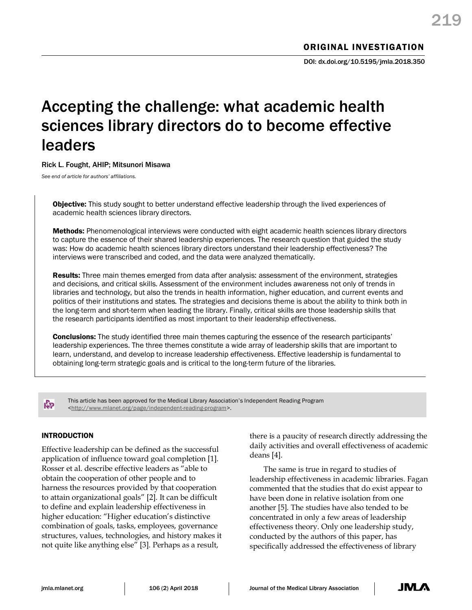# Accepting the challenge: what academic health sciences library directors do to become effective leaders

## Rick L. Fought, AHIP; Mitsunori Misawa

*See end of article for authors' affiliations.*

**Objective:** This study sought to better understand effective leadership through the lived experiences of academic health sciences library directors.

Methods: Phenomenological interviews were conducted with eight academic health sciences library directors to capture the essence of their shared leadership experiences. The research question that guided the study was: How do academic health sciences library directors understand their leadership effectiveness? The interviews were transcribed and coded, and the data were analyzed thematically.

Results: Three main themes emerged from data after analysis: assessment of the environment, strategies and decisions, and critical skills. Assessment of the environment includes awareness not only of trends in libraries and technology, but also the trends in health information, higher education, and current events and politics of their institutions and states. The strategies and decisions theme is about the ability to think both in the long-term and short-term when leading the library. Finally, critical skills are those leadership skills that the research participants identified as most important to their leadership effectiveness.

**Conclusions:** The study identified three main themes capturing the essence of the research participants' leadership experiences. The three themes constitute a wide array of leadership skills that are important to learn, understand, and develop to increase leadership effectiveness. Effective leadership is fundamental to obtaining long-term strategic goals and is critical to the long-term future of the libraries.

КÞ

This article has been approved for the Medical Library Association's Independent Reading Program [<http://www.mlanet.org/page/independent-reading-program>](http://www.mlanet.org/page/independent-reading-program).

# INTRODUCTION

Effective leadership can be defined as the successful application of influence toward goal completion [1]. Rosser et al. describe effective leaders as "able to obtain the cooperation of other people and to harness the resources provided by that cooperation to attain organizational goals" [2]. It can be difficult to define and explain leadership effectiveness in higher education: "Higher education's distinctive combination of goals, tasks, employees, governance structures, values, technologies, and history makes it not quite like anything else" [3]. Perhaps as a result,

there is a paucity of research directly addressing the daily activities and overall effectiveness of academic deans [4].

The same is true in regard to studies of leadership effectiveness in academic libraries. Fagan commented that the studies that do exist appear to have been done in relative isolation from one another [5]. The studies have also tended to be concentrated in only a few areas of leadership effectiveness theory. Only one leadership study, conducted by the authors of this paper, has specifically addressed the effectiveness of library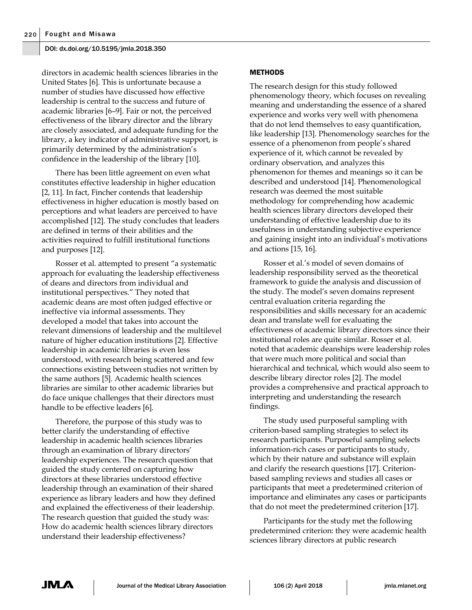directors in academic health sciences libraries in the United States [6]. This is unfortunate because a number of studies have discussed how effective leadership is central to the success and future of academic libraries [6–9]. Fair or not, the perceived effectiveness of the library director and the library are closely associated, and adequate funding for the library, a key indicator of administrative support, is primarily determined by the administration's confidence in the leadership of the library [10].

There has been little agreement on even what constitutes effective leadership in higher education [2, 11]. In fact, Fincher contends that leadership effectiveness in higher education is mostly based on perceptions and what leaders are perceived to have accomplished [12]. The study concludes that leaders are defined in terms of their abilities and the activities required to fulfill institutional functions and purposes [12].

Rosser et al. attempted to present "a systematic approach for evaluating the leadership effectiveness of deans and directors from individual and institutional perspectives." They noted that academic deans are most often judged effective or ineffective via informal assessments. They developed a model that takes into account the relevant dimensions of leadership and the multilevel nature of higher education institutions [2]. Effective leadership in academic libraries is even less understood, with research being scattered and few connections existing between studies not written by the same authors [5]. Academic health sciences libraries are similar to other academic libraries but do face unique challenges that their directors must handle to be effective leaders [6].

Therefore, the purpose of this study was to better clarify the understanding of effective leadership in academic health sciences libraries through an examination of library directors' leadership experiences. The research question that guided the study centered on capturing how directors at these libraries understood effective leadership through an examination of their shared experience as library leaders and how they defined and explained the effectiveness of their leadership. The research question that guided the study was: How do academic health sciences library directors understand their leadership effectiveness?

## METHODS

The research design for this study followed phenomenology theory, which focuses on revealing meaning and understanding the essence of a shared experience and works very well with phenomena that do not lend themselves to easy quantification, like leadership [13]. Phenomenology searches for the essence of a phenomenon from people's shared experience of it, which cannot be revealed by ordinary observation, and analyzes this phenomenon for themes and meanings so it can be described and understood [14]. Phenomenological research was deemed the most suitable methodology for comprehending how academic health sciences library directors developed their understanding of effective leadership due to its usefulness in understanding subjective experience and gaining insight into an individual's motivations and actions [15, 16].

Rosser et al.'s model of seven domains of leadership responsibility served as the theoretical framework to guide the analysis and discussion of the study. The model's seven domains represent central evaluation criteria regarding the responsibilities and skills necessary for an academic dean and translate well for evaluating the effectiveness of academic library directors since their institutional roles are quite similar. Rosser et al. noted that academic deanships were leadership roles that were much more political and social than hierarchical and technical, which would also seem to describe library director roles [2]. The model provides a comprehensive and practical approach to interpreting and understanding the research findings.

The study used purposeful sampling with criterion-based sampling strategies to select its research participants. Purposeful sampling selects information-rich cases or participants to study, which by their nature and substance will explain and clarify the research questions [17]. Criterionbased sampling reviews and studies all cases or participants that meet a predetermined criterion of importance and eliminates any cases or participants that do not meet the predetermined criterion [17].

Participants for the study met the following predetermined criterion: they were academic health sciences library directors at public research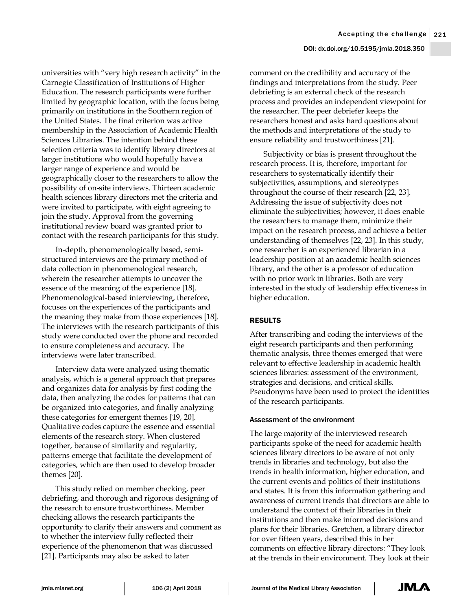universities with "very high research activity" in the Carnegie Classification of Institutions of Higher Education. The research participants were further limited by geographic location, with the focus being primarily on institutions in the Southern region of the United States. The final criterion was active membership in the Association of Academic Health Sciences Libraries. The intention behind these selection criteria was to identify library directors at larger institutions who would hopefully have a larger range of experience and would be geographically closer to the researchers to allow the possibility of on-site interviews. Thirteen academic health sciences library directors met the criteria and were invited to participate, with eight agreeing to join the study. Approval from the governing institutional review board was granted prior to contact with the research participants for this study.

In-depth, phenomenologically based, semistructured interviews are the primary method of data collection in phenomenological research, wherein the researcher attempts to uncover the essence of the meaning of the experience [18]. Phenomenological-based interviewing, therefore, focuses on the experiences of the participants and the meaning they make from those experiences [18]. The interviews with the research participants of this study were conducted over the phone and recorded to ensure completeness and accuracy. The interviews were later transcribed.

Interview data were analyzed using thematic analysis, which is a general approach that prepares and organizes data for analysis by first coding the data, then analyzing the codes for patterns that can be organized into categories, and finally analyzing these categories for emergent themes [19, 20]. Qualitative codes capture the essence and essential elements of the research story. When clustered together, because of similarity and regularity, patterns emerge that facilitate the development of categories, which are then used to develop broader themes [20].

This study relied on member checking, peer debriefing, and thorough and rigorous designing of the research to ensure trustworthiness. Member checking allows the research participants the opportunity to clarify their answers and comment as to whether the interview fully reflected their experience of the phenomenon that was discussed [21]. Participants may also be asked to later

comment on the credibility and accuracy of the findings and interpretations from the study. Peer debriefing is an external check of the research process and provides an independent viewpoint for the researcher. The peer debriefer keeps the researchers honest and asks hard questions about the methods and interpretations of the study to ensure reliability and trustworthiness [21].

Subjectivity or bias is present throughout the research process. It is, therefore, important for researchers to systematically identify their subjectivities, assumptions, and stereotypes throughout the course of their research [22, 23]. Addressing the issue of subjectivity does not eliminate the subjectivities; however, it does enable the researchers to manage them, minimize their impact on the research process, and achieve a better understanding of themselves [22, 23]. In this study, one researcher is an experienced librarian in a leadership position at an academic health sciences library, and the other is a professor of education with no prior work in libraries. Both are very interested in the study of leadership effectiveness in higher education.

# RESULTS

After transcribing and coding the interviews of the eight research participants and then performing thematic analysis, three themes emerged that were relevant to effective leadership in academic health sciences libraries: assessment of the environment, strategies and decisions, and critical skills. Pseudonyms have been used to protect the identities of the research participants.

## Assessment of the environment

The large majority of the interviewed research participants spoke of the need for academic health sciences library directors to be aware of not only trends in libraries and technology, but also the trends in health information, higher education, and the current events and politics of their institutions and states. It is from this information gathering and awareness of current trends that directors are able to understand the context of their libraries in their institutions and then make informed decisions and plans for their libraries. Gretchen, a library director for over fifteen years, described this in her comments on effective library directors: "They look at the trends in their environment. They look at their

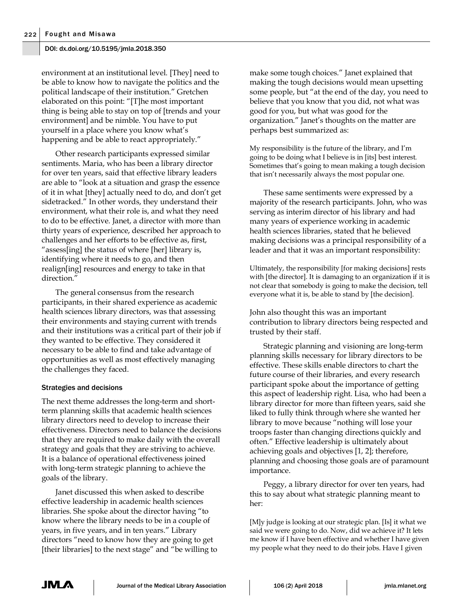environment at an institutional level. [They] need to be able to know how to navigate the politics and the political landscape of their institution." Gretchen elaborated on this point: "[T]he most important thing is being able to stay on top of [trends and your environment] and be nimble. You have to put yourself in a place where you know what's happening and be able to react appropriately."

Other research participants expressed similar sentiments. Maria, who has been a library director for over ten years, said that effective library leaders are able to "look at a situation and grasp the essence of it in what [they] actually need to do, and don't get sidetracked." In other words, they understand their environment, what their role is, and what they need to do to be effective. Janet, a director with more than thirty years of experience, described her approach to challenges and her efforts to be effective as, first, "assess[ing] the status of where [her] library is, identifying where it needs to go, and then realign[ing] resources and energy to take in that direction.'

The general consensus from the research participants, in their shared experience as academic health sciences library directors, was that assessing their environments and staying current with trends and their institutions was a critical part of their job if they wanted to be effective. They considered it necessary to be able to find and take advantage of opportunities as well as most effectively managing the challenges they faced.

## Strategies and decisions

The next theme addresses the long-term and shortterm planning skills that academic health sciences library directors need to develop to increase their effectiveness. Directors need to balance the decisions that they are required to make daily with the overall strategy and goals that they are striving to achieve. It is a balance of operational effectiveness joined with long-term strategic planning to achieve the goals of the library.

Janet discussed this when asked to describe effective leadership in academic health sciences libraries. She spoke about the director having "to know where the library needs to be in a couple of years, in five years, and in ten years." Library directors "need to know how they are going to get [their libraries] to the next stage" and "be willing to make some tough choices." Janet explained that making the tough decisions would mean upsetting some people, but "at the end of the day, you need to believe that you know that you did, not what was good for you, but what was good for the organization." Janet's thoughts on the matter are perhaps best summarized as:

My responsibility is the future of the library, and I'm going to be doing what I believe is in [its] best interest. Sometimes that's going to mean making a tough decision that isn't necessarily always the most popular one.

These same sentiments were expressed by a majority of the research participants. John, who was serving as interim director of his library and had many years of experience working in academic health sciences libraries, stated that he believed making decisions was a principal responsibility of a leader and that it was an important responsibility:

Ultimately, the responsibility [for making decisions] rests with [the director]. It is damaging to an organization if it is not clear that somebody is going to make the decision, tell everyone what it is, be able to stand by [the decision].

John also thought this was an important contribution to library directors being respected and trusted by their staff.

Strategic planning and visioning are long-term planning skills necessary for library directors to be effective. These skills enable directors to chart the future course of their libraries, and every research participant spoke about the importance of getting this aspect of leadership right. Lisa, who had been a library director for more than fifteen years, said she liked to fully think through where she wanted her library to move because "nothing will lose your troops faster than changing directions quickly and often." Effective leadership is ultimately about achieving goals and objectives [1, 2]; therefore, planning and choosing those goals are of paramount importance.

Peggy, a library director for over ten years, had this to say about what strategic planning meant to her:

[M]y judge is looking at our strategic plan. [Is] it what we said we were going to do. Now, did we achieve it? It lets me know if I have been effective and whether I have given my people what they need to do their jobs. Have I given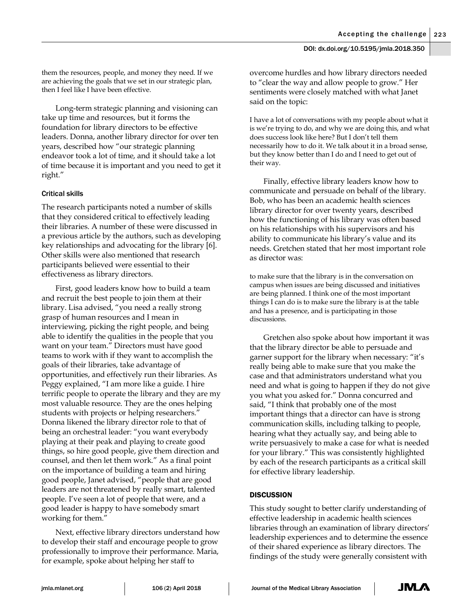them the resources, people, and money they need. If we are achieving the goals that we set in our strategic plan, then I feel like I have been effective.

Long-term strategic planning and visioning can take up time and resources, but it forms the foundation for library directors to be effective leaders. Donna, another library director for over ten years, described how "our strategic planning endeavor took a lot of time, and it should take a lot of time because it is important and you need to get it right."

# Critical skills

The research participants noted a number of skills that they considered critical to effectively leading their libraries. A number of these were discussed in a previous article by the authors, such as developing key relationships and advocating for the library [6]. Other skills were also mentioned that research participants believed were essential to their effectiveness as library directors.

First, good leaders know how to build a team and recruit the best people to join them at their library. Lisa advised, "you need a really strong grasp of human resources and I mean in interviewing, picking the right people, and being able to identify the qualities in the people that you want on your team." Directors must have good teams to work with if they want to accomplish the goals of their libraries, take advantage of opportunities, and effectively run their libraries. As Peggy explained, "I am more like a guide. I hire terrific people to operate the library and they are my most valuable resource. They are the ones helping students with projects or helping researchers." Donna likened the library director role to that of being an orchestral leader: "you want everybody playing at their peak and playing to create good things, so hire good people, give them direction and counsel, and then let them work." As a final point on the importance of building a team and hiring good people, Janet advised, "people that are good leaders are not threatened by really smart, talented people. I've seen a lot of people that were, and a good leader is happy to have somebody smart working for them."

Next, effective library directors understand how to develop their staff and encourage people to grow professionally to improve their performance. Maria, for example, spoke about helping her staff to

overcome hurdles and how library directors needed to "clear the way and allow people to grow." Her sentiments were closely matched with what Janet said on the topic:

I have a lot of conversations with my people about what it is we're trying to do, and why we are doing this, and what does success look like here? But I don't tell them necessarily how to do it. We talk about it in a broad sense, but they know better than I do and I need to get out of their way.

Finally, effective library leaders know how to communicate and persuade on behalf of the library. Bob, who has been an academic health sciences library director for over twenty years, described how the functioning of his library was often based on his relationships with his supervisors and his ability to communicate his library's value and its needs. Gretchen stated that her most important role as director was:

to make sure that the library is in the conversation on campus when issues are being discussed and initiatives are being planned. I think one of the most important things I can do is to make sure the library is at the table and has a presence, and is participating in those discussions.

Gretchen also spoke about how important it was that the library director be able to persuade and garner support for the library when necessary: "it's really being able to make sure that you make the case and that administrators understand what you need and what is going to happen if they do not give you what you asked for." Donna concurred and said, "I think that probably one of the most important things that a director can have is strong communication skills, including talking to people, hearing what they actually say, and being able to write persuasively to make a case for what is needed for your library." This was consistently highlighted by each of the research participants as a critical skill for effective library leadership.

# **DISCUSSION**

This study sought to better clarify understanding of effective leadership in academic health sciences libraries through an examination of library directors' leadership experiences and to determine the essence of their shared experience as library directors. The findings of the study were generally consistent with

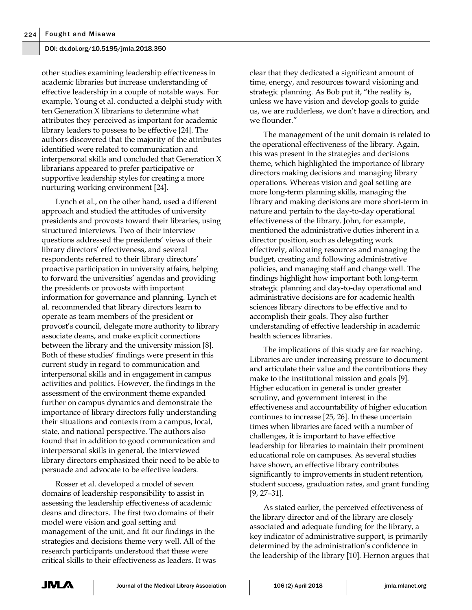other studies examining leadership effectiveness in academic libraries but increase understanding of effective leadership in a couple of notable ways. For example, Young et al. conducted a delphi study with ten Generation X librarians to determine what attributes they perceived as important for academic library leaders to possess to be effective [24]. The authors discovered that the majority of the attributes identified were related to communication and interpersonal skills and concluded that Generation X librarians appeared to prefer participative or supportive leadership styles for creating a more nurturing working environment [24].

Lynch et al., on the other hand, used a different approach and studied the attitudes of university presidents and provosts toward their libraries, using structured interviews. Two of their interview questions addressed the presidents' views of their library directors' effectiveness, and several respondents referred to their library directors' proactive participation in university affairs, helping to forward the universities' agendas and providing the presidents or provosts with important information for governance and planning. Lynch et al. recommended that library directors learn to operate as team members of the president or provost's council, delegate more authority to library associate deans, and make explicit connections between the library and the university mission [8]. Both of these studies' findings were present in this current study in regard to communication and interpersonal skills and in engagement in campus activities and politics. However, the findings in the assessment of the environment theme expanded further on campus dynamics and demonstrate the importance of library directors fully understanding their situations and contexts from a campus, local, state, and national perspective. The authors also found that in addition to good communication and interpersonal skills in general, the interviewed library directors emphasized their need to be able to persuade and advocate to be effective leaders.

Rosser et al. developed a model of seven domains of leadership responsibility to assist in assessing the leadership effectiveness of academic deans and directors. The first two domains of their model were vision and goal setting and management of the unit, and fit our findings in the strategies and decisions theme very well. All of the research participants understood that these were critical skills to their effectiveness as leaders. It was

clear that they dedicated a significant amount of time, energy, and resources toward visioning and strategic planning. As Bob put it, "the reality is, unless we have vision and develop goals to guide us, we are rudderless, we don't have a direction, and we flounder."

The management of the unit domain is related to the operational effectiveness of the library. Again, this was present in the strategies and decisions theme, which highlighted the importance of library directors making decisions and managing library operations. Whereas vision and goal setting are more long-term planning skills, managing the library and making decisions are more short-term in nature and pertain to the day-to-day operational effectiveness of the library. John, for example, mentioned the administrative duties inherent in a director position, such as delegating work effectively, allocating resources and managing the budget, creating and following administrative policies, and managing staff and change well. The findings highlight how important both long-term strategic planning and day-to-day operational and administrative decisions are for academic health sciences library directors to be effective and to accomplish their goals. They also further understanding of effective leadership in academic health sciences libraries.

The implications of this study are far reaching. Libraries are under increasing pressure to document and articulate their value and the contributions they make to the institutional mission and goals [9]. Higher education in general is under greater scrutiny, and government interest in the effectiveness and accountability of higher education continues to increase [25, 26]. In these uncertain times when libraries are faced with a number of challenges, it is important to have effective leadership for libraries to maintain their prominent educational role on campuses. As several studies have shown, an effective library contributes significantly to improvements in student retention, student success, graduation rates, and grant funding [9, 27–31].

As stated earlier, the perceived effectiveness of the library director and of the library are closely associated and adequate funding for the library, a key indicator of administrative support, is primarily determined by the administration's confidence in the leadership of the library [10]. Hernon argues that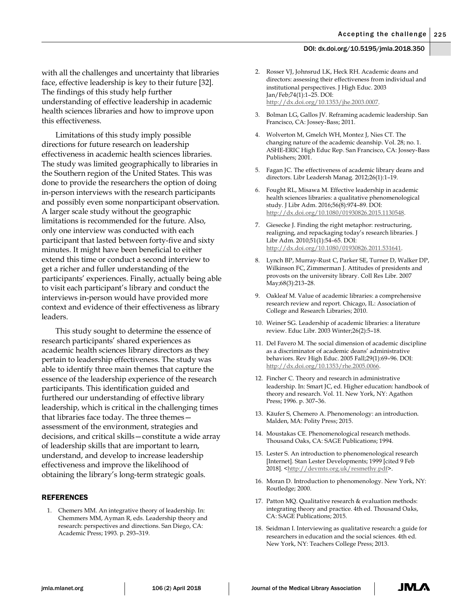with all the challenges and uncertainty that libraries face, effective leadership is key to their future [32]. The findings of this study help further understanding of effective leadership in academic health sciences libraries and how to improve upon this effectiveness.

Limitations of this study imply possible directions for future research on leadership effectiveness in academic health sciences libraries. The study was limited geographically to libraries in the Southern region of the United States. This was done to provide the researchers the option of doing in-person interviews with the research participants and possibly even some nonparticipant observation. A larger scale study without the geographic limitations is recommended for the future. Also, only one interview was conducted with each participant that lasted between forty-five and sixty minutes. It might have been beneficial to either extend this time or conduct a second interview to get a richer and fuller understanding of the participants' experiences. Finally, actually being able to visit each participant's library and conduct the interviews in-person would have provided more context and evidence of their effectiveness as library leaders.

This study sought to determine the essence of research participants' shared experiences as academic health sciences library directors as they pertain to leadership effectiveness. The study was able to identify three main themes that capture the essence of the leadership experience of the research participants. This identification guided and furthered our understanding of effective library leadership, which is critical in the challenging times that libraries face today. The three themes assessment of the environment, strategies and decisions, and critical skills—constitute a wide array of leadership skills that are important to learn, understand, and develop to increase leadership effectiveness and improve the likelihood of obtaining the library's long-term strategic goals.

#### REFERENCES

1. Chemers MM. An integrative theory of leadership. In: Chemmers MM, Ayman R, eds. Leadership theory and research: perspectives and directions. San Diego, CA: Academic Press; 1993. p. 293–319.

- 2. Rosser VJ, Johnsrud LK, Heck RH. Academic deans and directors: assessing their effectiveness from individual and institutional perspectives. J High Educ. 2003 Jan/Feb;74(1):1–25. DOI: [http://dx.doi.org/10.1353/jhe.2003.0007.](http://dx.doi.org/10.1353/jhe.2003.0007)
- 3. Bolman LG, Gallos JV. Reframing academic leadership. San Francisco, CA: Jossey-Bass; 2011.
- 4. Wolverton M, Gmelch WH, Montez J, Nies CT. The changing nature of the academic deanship. Vol. 28; no. 1. ASHE-ERIC High Educ Rep. San Francisco, CA: Jossey-Bass Publishers; 2001.
- 5. Fagan JC. The effectiveness of academic library deans and directors. Libr Leadersh Manag. 2012;26(1):1–19.
- 6. Fought RL, Misawa M. Effective leadership in academic health sciences libraries: a qualitative phenomenological study. J Libr Adm. 2016;56(8):974–89. DOI: [http://dx.doi.org/10.1080/01930826.2015.1130548.](http://dx.doi.org/10.1080/01930826.2015.1130548)
- 7. Giesecke J. Finding the right metaphor: restructuring, realigning, and repackaging today's research libraries. J Libr Adm. 2010;51(1):54–65. DOI: [http://dx.doi.org/10.1080/01930826.2011.531641.](http://dx.doi.org/10.1080/01930826.2011.531641)
- 8. Lynch BP, Murray-Rust C, Parker SE, Turner D, Walker DP, Wilkinson FC, Zimmerman J. Attitudes of presidents and provosts on the university library. Coll Res Libr. 2007 May;68(3):213–28.
- 9. Oakleaf M. Value of academic libraries: a comprehensive research review and report. Chicago, IL: Association of College and Research Libraries; 2010.
- 10. Weiner SG. Leadership of academic libraries: a literature review. Educ Libr. 2003 Winter;26(2):5–18.
- 11. Del Favero M. The social dimension of academic discipline as a discriminator of academic deans' administrative behaviors. Rev High Educ. 2005 Fall;29(1):69–96. DOI: [http://dx.doi.org/10.1353/rhe.2005.0066.](http://dx.doi.org/10.1353/rhe.2005.0066)
- 12. Fincher C. Theory and research in administrative leadership. In: Smart JC, ed. Higher education: handbook of theory and research. Vol. 11. New York, NY: Agathon Press; 1996. p. 307–36.
- 13. Käufer S, Chemero A. Phenomenology: an introduction. Malden, MA: Polity Press; 2015.
- 14. Moustakas CE. Phenomenological research methods. Thousand Oaks, CA: SAGE Publications; 1994.
- 15. Lester S. An introduction to phenomenological research [Internet]. Stan Lester Developments; 1999 [cited 9 Feb 2018]. [<http://devmts.org.uk/resmethy.pdf>](http://devmts.org.uk/resmethy.pdf).
- 16. Moran D. Introduction to phenomenology. New York, NY: Routledge; 2000.
- 17. Patton MQ. Qualitative research & evaluation methods: integrating theory and practice. 4th ed. Thousand Oaks, CA: SAGE Publications; 2015.
- 18. Seidman I. Interviewing as qualitative research: a guide for researchers in education and the social sciences. 4th ed. New York, NY: Teachers College Press; 2013.